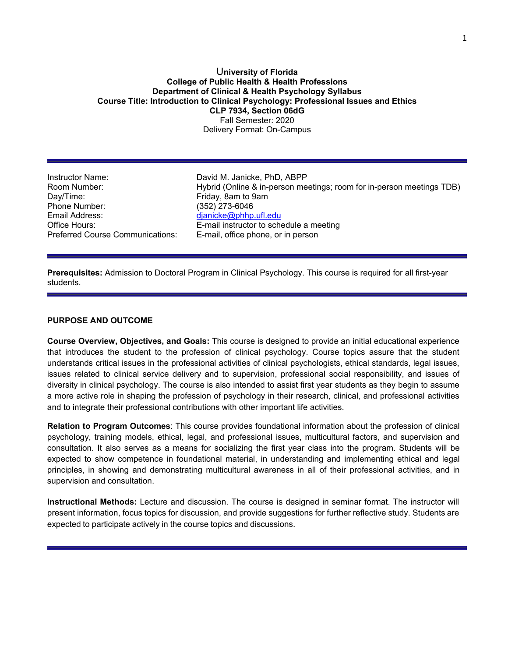## U**niversity of Florida College of Public Health & Health Professions Department of Clinical & Health Psychology Syllabus Course Title: Introduction to Clinical Psychology: Professional Issues and Ethics CLP 7934, Section 06dG** Fall Semester: 2020 Delivery Format: On-Campus

Instructor Name: David M. Janicke, PhD, ABPP Phone Number: (352) 273-6046<br>Email Address: (and a complete dianicke@phhp Email Address: dianicke@phhp.ufl.edu<br>Office Hours: dianics dianic E-mail instructor to sch Preferred Course Communications: E-mail, office phone, or in person

Room Number: Hybrid (Online & in-person meetings; room for in-person meetings TDB) Friday, 8am to 9am E-mail instructor to schedule a meeting

**Prerequisites:** Admission to Doctoral Program in Clinical Psychology. This course is required for all first-year students.

## **PURPOSE AND OUTCOME**

**Course Overview, Objectives, and Goals:** This course is designed to provide an initial educational experience that introduces the student to the profession of clinical psychology. Course topics assure that the student understands critical issues in the professional activities of clinical psychologists, ethical standards, legal issues, issues related to clinical service delivery and to supervision, professional social responsibility, and issues of diversity in clinical psychology. The course is also intended to assist first year students as they begin to assume a more active role in shaping the profession of psychology in their research, clinical, and professional activities and to integrate their professional contributions with other important life activities.

**Relation to Program Outcomes**: This course provides foundational information about the profession of clinical psychology, training models, ethical, legal, and professional issues, multicultural factors, and supervision and consultation. It also serves as a means for socializing the first year class into the program. Students will be expected to show competence in foundational material, in understanding and implementing ethical and legal principles, in showing and demonstrating multicultural awareness in all of their professional activities, and in supervision and consultation.

**Instructional Methods:** Lecture and discussion. The course is designed in seminar format. The instructor will present information, focus topics for discussion, and provide suggestions for further reflective study. Students are expected to participate actively in the course topics and discussions.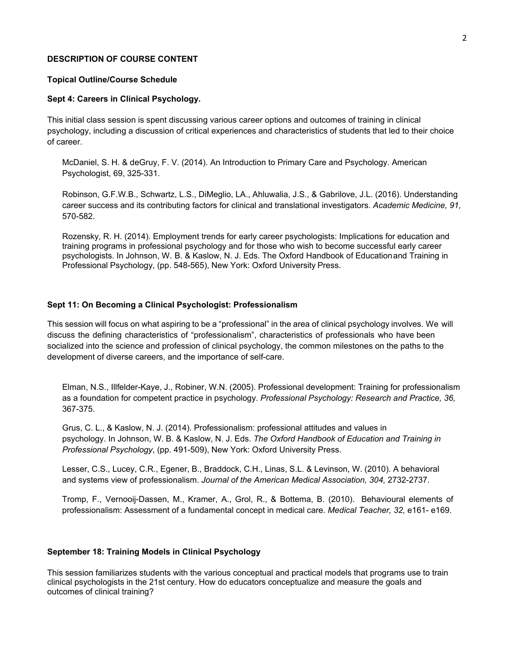#### **DESCRIPTION OF COURSE CONTENT**

### **Topical Outline/Course Schedule**

#### **Sept 4: Careers in Clinical Psychology.**

This initial class session is spent discussing various career options and outcomes of training in clinical psychology, including a discussion of critical experiences and characteristics of students that led to their choice of career.

McDaniel, S. H. & deGruy, F. V. (2014). An Introduction to Primary Care and Psychology. American Psychologist, 69, 325-331.

Robinson, G.F.W.B., Schwartz, L.S., DiMeglio, LA., Ahluwalia, J.S., & Gabrilove, J.L. (2016). Understanding career success and its contributing factors for clinical and translational investigators. *Academic Medicine, 91,*  570-582.

Rozensky, R. H. (2014). Employment trends for early career psychologists: Implications for education and training programs in professional psychology and for those who wish to become successful early career psychologists. In Johnson, W. B. & Kaslow, N. J. Eds. The Oxford Handbook of Educationand Training in Professional Psychology, (pp. 548-565), New York: Oxford University Press.

## **Sept 11: On Becoming a Clinical Psychologist: Professionalism**

This session will focus on what aspiring to be a "professional" in the area of clinical psychology involves. We will discuss the defining characteristics of "professionalism", characteristics of professionals who have been socialized into the science and profession of clinical psychology, the common milestones on the paths to the development of diverse careers, and the importance of self-care.

Elman, N.S., Illfelder-Kaye, J., Robiner, W.N. (2005). Professional development: Training for professionalism as a foundation for competent practice in psychology. *Professional Psychology: Research and Practice, 36,*  367-375.

Grus, C. L., & Kaslow, N. J. (2014). Professionalism: professional attitudes and values in psychology. In Johnson, W. B. & Kaslow, N. J. Eds. *The Oxford Handbook of Education and Training in Professional Psychology*, (pp. 491-509), New York: Oxford University Press.

Lesser, C.S., Lucey, C.R., Egener, B., Braddock, C.H., Linas, S.L. & Levinson, W. (2010). A behavioral and systems view of professionalism. *Journal of the American Medical Association, 304,* 2732-2737.

Tromp, F., Vernooij-Dassen, M., Kramer, A., Grol, R., & Bottema, B. (2010). Behavioural elements of professionalism: Assessment of a fundamental concept in medical care. *Medical Teacher, 32,* e161- e169.

### **September 18: Training Models in Clinical Psychology**

This session familiarizes students with the various conceptual and practical models that programs use to train clinical psychologists in the 21st century. How do educators conceptualize and measure the goals and outcomes of clinical training?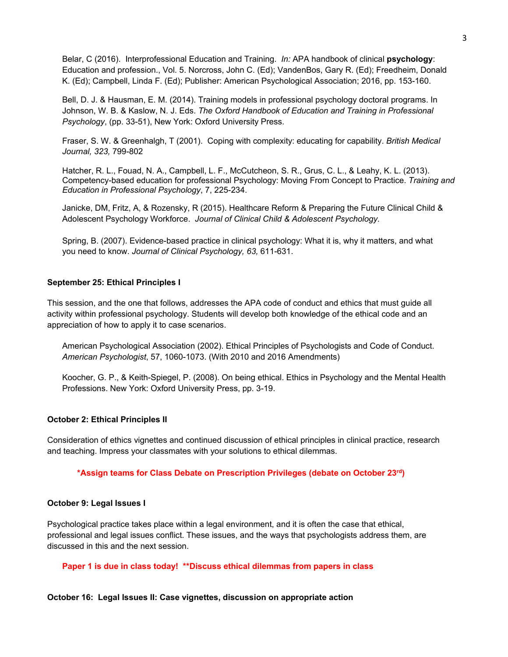Belar, C (2016). Interprofessional Education and Training. *In:* APA handbook of clinical **psychology**: Education and profession., Vol. 5. Norcross, John C. (Ed); VandenBos, Gary R. (Ed); Freedheim, Donald K. (Ed); Campbell, Linda F. (Ed); Publisher: American Psychological Association; 2016, pp. 153-160.

Bell, D. J. & Hausman, E. M. (2014). Training models in professional psychology doctoral programs. In Johnson, W. B. & Kaslow, N. J. Eds. *The Oxford Handbook of Education and Training in Professional Psychology*, (pp. 33-51), New York: Oxford University Press.

Fraser, S. W. & Greenhalgh, T (2001). Coping with complexity: educating for capability. *British Medical Journal, 323,* 799-802

Hatcher, R. L., Fouad, N. A., Campbell, L. F., McCutcheon, S. R., Grus, C. L., & Leahy, K. L. (2013). Competency-based education for professional Psychology: Moving From Concept to Practice. *Training and Education in Professional Psychology*, 7, 225-234.

Janicke, DM, Fritz, A, & Rozensky, R (2015). Healthcare Reform & Preparing the Future Clinical Child & Adolescent Psychology Workforce. *Journal of Clinical Child & Adolescent Psychology.* 

Spring, B. (2007). Evidence-based practice in clinical psychology: What it is, why it matters, and what you need to know. *Journal of Clinical Psychology, 63,* 611-631.

### **September 25: Ethical Principles I**

This session, and the one that follows, addresses the APA code of conduct and ethics that must guide all activity within professional psychology. Students will develop both knowledge of the ethical code and an appreciation of how to apply it to case scenarios.

American Psychological Association (2002). Ethical Principles of Psychologists and Code of Conduct. *American Psychologist*, 57, 1060-1073. (With 2010 and 2016 Amendments)

Koocher, G. P., & Keith-Spiegel, P. (2008). On being ethical. Ethics in Psychology and the Mental Health Professions. New York: Oxford University Press, pp. 3-19.

### **October 2: Ethical Principles II**

Consideration of ethics vignettes and continued discussion of ethical principles in clinical practice, research and teaching. Impress your classmates with your solutions to ethical dilemmas.

#### **\*Assign teams for Class Debate on Prescription Privileges (debate on October 23rd)**

#### **October 9: Legal Issues I**

Psychological practice takes place within a legal environment, and it is often the case that ethical, professional and legal issues conflict. These issues, and the ways that psychologists address them, are discussed in this and the next session.

#### **Paper 1 is due in class today! \*\*Discuss ethical dilemmas from papers in class**

## **October 16: Legal Issues II: Case vignettes, discussion on appropriate action**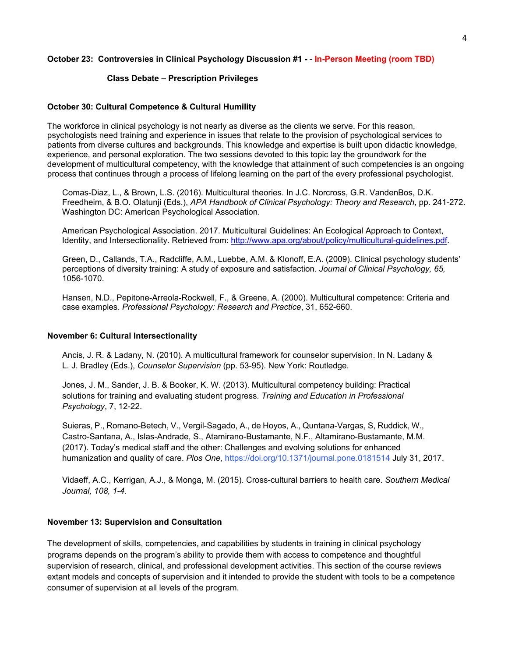## **October 23: Controversies in Clinical Psychology Discussion #1 -** - **In-Person Meeting (room TBD)**

## **Class Debate – Prescription Privileges**

## **October 30: Cultural Competence & Cultural Humility**

The workforce in clinical psychology is not nearly as diverse as the clients we serve. For this reason, psychologists need training and experience in issues that relate to the provision of psychological services to patients from diverse cultures and backgrounds. This knowledge and expertise is built upon didactic knowledge, experience, and personal exploration. The two sessions devoted to this topic lay the groundwork for the development of multicultural competency, with the knowledge that attainment of such competencies is an ongoing process that continues through a process of lifelong learning on the part of the every professional psychologist.

Comas-Diaz, L., & Brown, L.S. (2016). Multicultural theories. In J.C. Norcross, G.R. VandenBos, D.K. Freedheim, & B.O. Olatunji (Eds.), *APA Handbook of Clinical Psychology: Theory and Research*, pp. 241-272. Washington DC: American Psychological Association.

American Psychological Association. 2017. Multicultural Guidelines: An Ecological Approach to Context, Identity, and Intersectionality. Retrieved from: [http://www.apa.org/about/policy/multicultural-guidelines.pdf.](http://www.apa.org/about/policy/multicultural-guidelines.pdf)

Green, D., Callands, T.A., Radcliffe, A.M., Luebbe, A.M. & Klonoff, E.A. (2009). Clinical psychology students' perceptions of diversity training: A study of exposure and satisfaction. *Journal of Clinical Psychology, 65,*  1056-1070.

Hansen, N.D., Pepitone-Arreola-Rockwell, F., & Greene, A. (2000). Multicultural competence: Criteria and case examples. *Professional Psychology: Research and Practice*, 31, 652-660.

## **November 6: Cultural Intersectionality**

Ancis, J. R. & Ladany, N. (2010). A multicultural framework for counselor supervision. In N. Ladany & L. J. Bradley (Eds.), *Counselor Supervision* (pp. 53-95). New York: Routledge.

Jones, J. M., Sander, J. B. & Booker, K. W. (2013). Multicultural competency building: Practical solutions for training and evaluating student progress. *Training and Education in Professional Psychology*, 7, 12-22.

Suieras, P., Romano-Betech, V., Vergil-Sagado, A., de Hoyos, A., Quntana-Vargas, S, Ruddick, W., Castro-Santana, A., Islas-Andrade, S., Atamirano-Bustamante, N.F., Altamirano-Bustamante, M.M. (2017). Today's medical staff and the other: Challenges and evolving solutions for enhanced humanization and quality of care. *Plos One,* https://doi.org/10.1371/journal.pone.0181514 July 31, 2017.

Vidaeff, A.C., Kerrigan, A.J., & Monga, M. (2015). Cross-cultural barriers to health care. *Southern Medical Journal, 108, 1-4.*

## **November 13: Supervision and Consultation**

The development of skills, competencies, and capabilities by students in training in clinical psychology programs depends on the program's ability to provide them with access to competence and thoughtful supervision of research, clinical, and professional development activities. This section of the course reviews extant models and concepts of supervision and it intended to provide the student with tools to be a competence consumer of supervision at all levels of the program.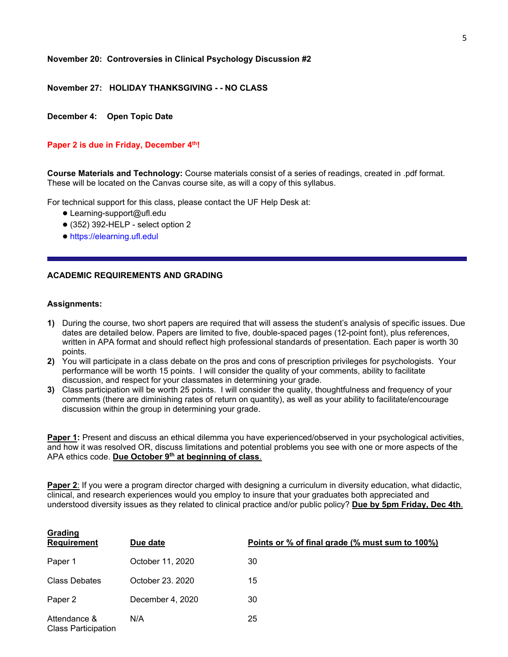#### **November 20: Controversies in Clinical Psychology Discussion #2**

**November 27: HOLIDAY THANKSGIVING - - NO CLASS**

**December 4: Open Topic Date**

#### Paper 2 is due in Friday, December 4<sup>th</sup>!

**Course Materials and Technology:** Course materials consist of a series of readings, created in .pdf format. These will be located on the Canvas course site, as will a copy of this syllabus.

For technical support for this class, please contact the UF Help Desk at:

- Learning-support@ufl.edu
- $\bullet$  (352) 392-HELP select option 2
- https://elearning.ufl.edul

## **ACADEMIC REQUIREMENTS AND GRADING**

#### **Assignments:**

- **1)** During the course, two short papers are required that will assess the student's analysis of specific issues. Due dates are detailed below. Papers are limited to five, double-spaced pages (12-point font), plus references, written in APA format and should reflect high professional standards of presentation. Each paper is worth 30 points.
- **2)** You will participate in a class debate on the pros and cons of prescription privileges for psychologists. Your performance will be worth 15 points. I will consider the quality of your comments, ability to facilitate discussion, and respect for your classmates in determining your grade.
- **3)** Class participation will be worth 25 points. I will consider the quality, thoughtfulness and frequency of your comments (there are diminishing rates of return on quantity), as well as your ability to facilitate/encourage discussion within the group in determining your grade.

**Paper 1:** Present and discuss an ethical dilemma you have experienced/observed in your psychological activities, and how it was resolved OR, discuss limitations and potential problems you see with one or more aspects of the APA ethics code. **Due October 9th at beginning of class**.

**Paper 2**: If you were a program director charged with designing a curriculum in diversity education, what didactic, clinical, and research experiences would you employ to insure that your graduates both appreciated and understood diversity issues as they related to clinical practice and/or public policy? **Due by 5pm Friday, Dec 4th**.

| Grading<br><b>Requirement</b>              | Due date         | Points or % of final grade (% must sum to 100%) |
|--------------------------------------------|------------------|-------------------------------------------------|
| Paper 1                                    | October 11, 2020 | 30                                              |
| <b>Class Debates</b>                       | October 23, 2020 | 15                                              |
| Paper 2                                    | December 4, 2020 | 30                                              |
| Attendance &<br><b>Class Participation</b> | N/A              | 25                                              |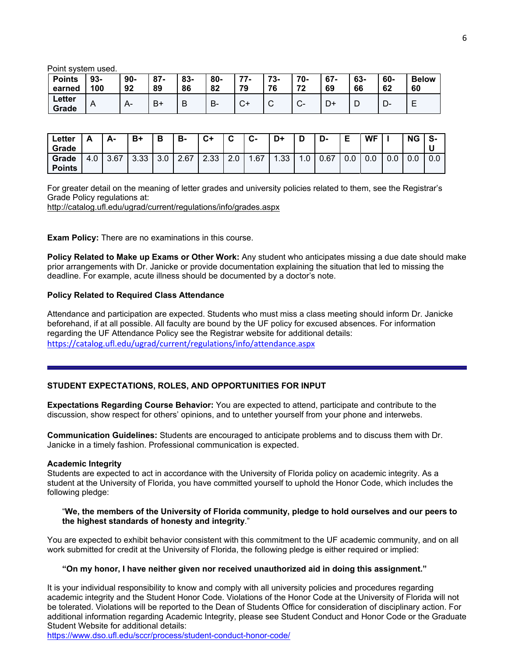Point system used.

| <b>Points</b><br>earned | $93-$<br>100 | $90-$<br>92 | $87 -$<br>89 | 83-<br>86 | 80-<br>82 | 77<br>$\sqrt{ }$<br>79   | ヮっ<br>- 30<br>76 | 70-<br>72              | $67 -$<br>69 | 63-<br>66 | 60-<br>62 | <b>Below</b><br>60 |
|-------------------------|--------------|-------------|--------------|-----------|-----------|--------------------------|------------------|------------------------|--------------|-----------|-----------|--------------------|
| Letter<br>Grade         | A            |             | B+           | В         | В-        | $\sim$<br>$\mathbf{v}^+$ | ⌒<br>ັ           | $\sim$<br>$\mathbf{v}$ | D+           | D         | −<br>- יש | −                  |

| <b>Letter</b><br>Grade | A   | А-   | B+   | D<br>D | в-   | C+   | ◠<br>v        | $c-$ | D+  | D             | D-   | Е   | WF  | ΝG  | ∪ S- |
|------------------------|-----|------|------|--------|------|------|---------------|------|-----|---------------|------|-----|-----|-----|------|
| Grade<br><b>Points</b> | 4.0 | 3.67 | 3.33 | 3.0    | 2.67 | 2.33 | $\sim$<br>z.u | .67  | .33 | $\cdot \cdot$ | 0.67 | 0.0 | 0.0 | 0.0 | 0.0  |

For greater detail on the meaning of letter grades and university policies related to them, see the Registrar's Grade Policy regulations at:

<http://catalog.ufl.edu/ugrad/current/regulations/info/grades.aspx>

**Exam Policy:** There are no examinations in this course.

**Policy Related to Make up Exams or Other Work:** Any student who anticipates missing a due date should make prior arrangements with Dr. Janicke or provide documentation explaining the situation that led to missing the deadline. For example, acute illness should be documented by a doctor's note.

#### **Policy Related to Required Class Attendance**

Attendance and participation are expected. Students who must miss a class meeting should inform Dr. Janicke beforehand, if at all possible. All faculty are bound by the UF policy for excused absences. For information regarding the UF Attendance Policy see the Registrar website for additional details: <https://catalog.ufl.edu/ugrad/current/regulations/info/attendance.aspx>

#### **STUDENT EXPECTATIONS, ROLES, AND OPPORTUNITIES FOR INPUT**

**Expectations Regarding Course Behavior:** You are expected to attend, participate and contribute to the discussion, show respect for others' opinions, and to untether yourself from your phone and interwebs.

**Communication Guidelines:** Students are encouraged to anticipate problems and to discuss them with Dr. Janicke in a timely fashion. Professional communication is expected.

#### **Academic Integrity**

Students are expected to act in accordance with the University of Florida policy on academic integrity. As a student at the University of Florida, you have committed yourself to uphold the Honor Code, which includes the following pledge:

#### "**We, the members of the University of Florida community, pledge to hold ourselves and our peers to the highest standards of honesty and integrity**."

You are expected to exhibit behavior consistent with this commitment to the UF academic community, and on all work submitted for credit at the University of Florida, the following pledge is either required or implied:

#### **"On my honor, I have neither given nor received unauthorized aid in doing this assignment."**

It is your individual responsibility to know and comply with all university policies and procedures regarding academic integrity and the Student Honor Code. Violations of the Honor Code at the University of Florida will not be tolerated. Violations will be reported to the Dean of Students Office for consideration of disciplinary action. For additional information regarding Academic Integrity, please see Student Conduct and Honor Code or the Graduate Student Website for additional details:

<https://www.dso.ufl.edu/sccr/process/student-conduct-honor-code/>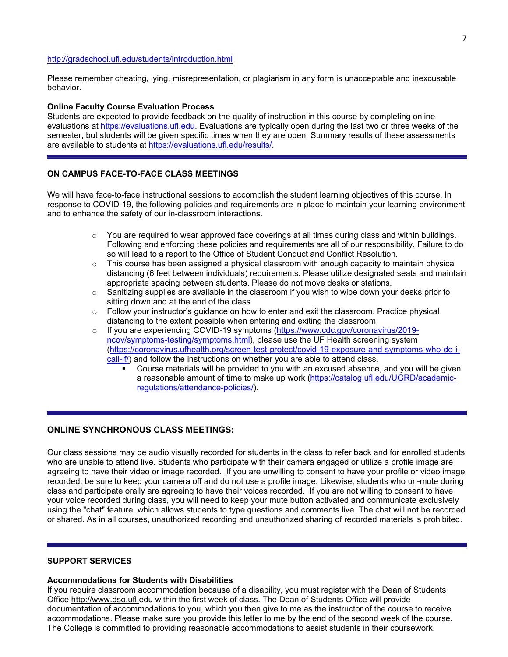#### <http://gradschool.ufl.edu/students/introduction.html>

Please remember cheating, lying, misrepresentation, or plagiarism in any form is unacceptable and inexcusable behavior.

### **Online Faculty Course Evaluation Process**

Students are expected to provide feedback on the quality of instruction in this course by completing online evaluations at https://evaluations.ufl.edu. Evaluations are typically open during the last two or three weeks of the semester, but students will be given specific times when they are open. Summary results of these assessments are available to students at [https://evaluations.ufl.edu/results/.](https://evaluations.ufl.edu/results/)

## **ON CAMPUS FACE-TO-FACE CLASS MEETINGS**

We will have face-to-face instructional sessions to accomplish the student learning objectives of this course. In response to COVID-19, the following policies and requirements are in place to maintain your learning environment and to enhance the safety of our in-classroom interactions.

- $\circ$  You are required to wear approved face coverings at all times during class and within buildings. Following and enforcing these policies and requirements are all of our responsibility. Failure to do so will lead to a report to the Office of Student Conduct and Conflict Resolution.
- $\circ$  This course has been assigned a physical classroom with enough capacity to maintain physical distancing (6 feet between individuals) requirements. Please utilize designated seats and maintain appropriate spacing between students. Please do not move desks or stations.
- o Sanitizing supplies are available in the classroom if you wish to wipe down your desks prior to sitting down and at the end of the class.
- $\circ$  Follow your instructor's guidance on how to enter and exit the classroom. Practice physical distancing to the extent possible when entering and exiting the classroom.
- o If you are experiencing COVID-19 symptoms [\(https://www.cdc.gov/coronavirus/2019](https://urldefense.proofpoint.com/v2/url?u=https-3A__www.cdc.gov_coronavirus_2019-2Dncov_symptoms-2Dtesting_symptoms.html&d=DwMFaQ&c=sJ6xIWYx-zLMB3EPkvcnVg&r=ZEQO3x8hJGWNNvnI4qRm6Q4ud4MRzqGGm0_17B0tMBg&m=wPVBJgGaU0xM7LIMiYgAN51EnnRz5azk3O2f3ppir8Y&s=cxAoq8c6JPuuhOX8QjCa426RNLAB3OJU-ajdSpjtAEk&e=) [ncov/symptoms-testing/symptoms.html\)](https://urldefense.proofpoint.com/v2/url?u=https-3A__www.cdc.gov_coronavirus_2019-2Dncov_symptoms-2Dtesting_symptoms.html&d=DwMFaQ&c=sJ6xIWYx-zLMB3EPkvcnVg&r=ZEQO3x8hJGWNNvnI4qRm6Q4ud4MRzqGGm0_17B0tMBg&m=wPVBJgGaU0xM7LIMiYgAN51EnnRz5azk3O2f3ppir8Y&s=cxAoq8c6JPuuhOX8QjCa426RNLAB3OJU-ajdSpjtAEk&e=), please use the UF Health screening system [\(https://coronavirus.ufhealth.org/screen-test-protect/covid-19-exposure-and-symptoms-who-do-i](https://coronavirus.ufhealth.org/screen-test-protect/covid-19-exposure-and-symptoms-who-do-i-call-if/)[call-if/\)](https://coronavirus.ufhealth.org/screen-test-protect/covid-19-exposure-and-symptoms-who-do-i-call-if/) and follow the instructions on whether you are able to attend class.
	- Course materials will be provided to you with an excused absence, and you will be given a reasonable amount of time to make up work [\(https://catalog.ufl.edu/UGRD/academic](https://catalog.ufl.edu/UGRD/academic-regulations/attendance-policies/)[regulations/attendance-policies/\)](https://catalog.ufl.edu/UGRD/academic-regulations/attendance-policies/).

# **ONLINE SYNCHRONOUS CLASS MEETINGS:**

Our class sessions may be audio visually recorded for students in the class to refer back and for enrolled students who are unable to attend live. Students who participate with their camera engaged or utilize a profile image are agreeing to have their video or image recorded. If you are unwilling to consent to have your profile or video image recorded, be sure to keep your camera off and do not use a profile image. Likewise, students who un-mute during class and participate orally are agreeing to have their voices recorded. If you are not willing to consent to have your voice recorded during class, you will need to keep your mute button activated and communicate exclusively using the "chat" feature, which allows students to type questions and comments live. The chat will not be recorded or shared. As in all courses, unauthorized recording and unauthorized sharing of recorded materials is prohibited.

## **SUPPORT SERVICES**

## **Accommodations for Students with Disabilities**

If you require classroom accommodation because of a disability, you must register with the Dean of Students Office http://www.dso.ufl.edu within the first week of class. The Dean of Students Office will provide documentation of accommodations to you, which you then give to me as the instructor of the course to receive accommodations. Please make sure you provide this letter to me by the end of the second week of the course. The College is committed to providing reasonable accommodations to assist students in their coursework.